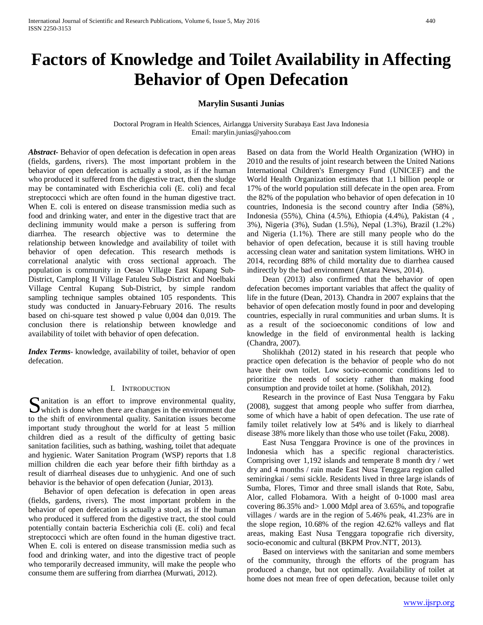# **Factors of Knowledge and Toilet Availability in Affecting Behavior of Open Defecation**

## **Marylin Susanti Junias**

Doctoral Program in Health Sciences, Airlangga University Surabaya East Java Indonesia Email: marylin.junias@yahoo.com

*Abstract***-** Behavior of open defecation is defecation in open areas (fields, gardens, rivers). The most important problem in the behavior of open defecation is actually a stool, as if the human who produced it suffered from the digestive tract, then the sludge may be contaminated with Escherichia coli (E. coli) and fecal streptococci which are often found in the human digestive tract. When E. coli is entered on disease transmission media such as food and drinking water, and enter in the digestive tract that are declining immunity would make a person is suffering from diarrhea. The research objective was to determine the relationship between knowledge and availability of toilet with behavior of open defecation. This research methods is correlational analytic with cross sectional approach. The population is community in Oesao Village East Kupang Sub-District, Camplong II Village Fatuleu Sub-District and Noelbaki Village Central Kupang Sub-District, by simple random sampling technique samples obtained 105 respondents. This study was conducted in January-February 2016. The results based on chi-square test showed p value 0,004 dan 0,019. The conclusion there is relationship between knowledge and availability of toilet with behavior of open defecation.

*Index Terms*- knowledge, availability of toilet, behavior of open defecation.

## I. INTRODUCTION

 $\Gamma$  anitation is an effort to improve environmental quality, S anitation is an effort to improve environmental quality,<br>which is done when there are changes in the environment due to the shift of environmental quality. Sanitation issues become important study throughout the world for at least 5 million children died as a result of the difficulty of getting basic sanitation facilities, such as bathing, washing, toilet that adequate and hygienic. Water Sanitation Program (WSP) reports that 1.8 million children die each year before their fifth birthday as a result of diarrheal diseases due to unhygienic. And one of such behavior is the behavior of open defecation (Juniar, 2013).

 Behavior of open defecation is defecation in open areas (fields, gardens, rivers). The most important problem in the behavior of open defecation is actually a stool, as if the human who produced it suffered from the digestive tract, the stool could potentially contain bacteria Escherichia coli (E. coli) and fecal streptococci which are often found in the human digestive tract. When E. coli is entered on disease transmission media such as food and drinking water, and into the digestive tract of people who temporarily decreased immunity, will make the people who consume them are suffering from diarrhea (Murwati, 2012).

Based on data from the World Health Organization (WHO) in 2010 and the results of joint research between the United Nations International Children's Emergency Fund (UNICEF) and the World Health Organization estimates that 1.1 billion people or 17% of the world population still defecate in the open area. From the 82% of the population who behavior of open defecation in 10 countries, Indonesia is the second country after India (58%), Indonesia (55%), China (4.5%), Ethiopia (4.4%), Pakistan (4 , 3%), Nigeria (3%), Sudan (1.5%), Nepal (1.3%), Brazil (1.2%) and Nigeria (1.1%). There are still many people who do the behavior of open defecation, because it is still having trouble accessing clean water and sanitation system limitations. WHO in 2014, recording 88% of child mortality due to diarrhea caused indirectly by the bad environment (Antara News, 2014).

 Dean (2013) also confirmed that the behavior of open defecation becomes important variables that affect the quality of life in the future (Dean, 2013). Chandra in 2007 explains that the behavior of open defecation mostly found in poor and developing countries, especially in rural communities and urban slums. It is as a result of the socioeconomic conditions of low and knowledge in the field of environmental health is lacking (Chandra, 2007).

 Sholikhah (2012) stated in his research that people who practice open defecation is the behavior of people who do not have their own toilet. Low socio-economic conditions led to prioritize the needs of society rather than making food consumption and provide toilet at home. (Solikhah, 2012).

 Research in the province of East Nusa Tenggara by Faku (2008), suggest that among people who suffer from diarrhea, some of which have a habit of open defecation. The use rate of family toilet relatively low at 54% and is likely to diarrheal disease 38% more likely than those who use toilet (Faku, 2008).

 East Nusa Tenggara Province is one of the provinces in Indonesia which has a specific regional characteristics. Comprising over 1,192 islands and temperate 8 month dry / wet dry and 4 months / rain made East Nusa Tenggara region called semiringkai / semi sickle. Residents lived in three large islands of Sumba, Flores, Timor and three small islands that Rote, Sabu, Alor, called Flobamora. With a height of 0-1000 masl area covering 86.35% and> 1.000 Mdpl area of 3.65%, and topografie villages / wards are in the region of 5.46% peak, 41.23% are in the slope region, 10.68% of the region 42.62% valleys and flat areas, making East Nusa Tenggara topografie rich diversity, socio-economic and cultural (BKPM Prov.NTT, 2013).

 Based on interviews with the sanitarian and some members of the community, through the efforts of the program has produced a change, but not optimally. Availability of toilet at home does not mean free of open defecation, because toilet only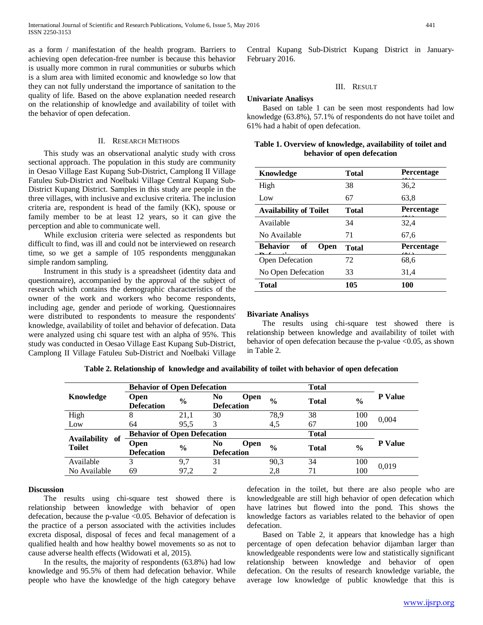as a form / manifestation of the health program. Barriers to achieving open defecation-free number is because this behavior is usually more common in rural communities or suburbs which is a slum area with limited economic and knowledge so low that they can not fully understand the importance of sanitation to the quality of life. Based on the above explanation needed research on the relationship of knowledge and availability of toilet with the behavior of open defecation.

## II. RESEARCH METHODS

 This study was an observational analytic study with cross sectional approach. The population in this study are community in Oesao Village East Kupang Sub-District, Camplong II Village Fatuleu Sub-District and Noelbaki Village Central Kupang Sub-District Kupang District. Samples in this study are people in the three villages, with inclusive and exclusive criteria. The inclusion criteria are, respondent is head of the family (KK), spouse or family member to be at least 12 years, so it can give the perception and able to communicate well.

 While exclusion criteria were selected as respondents but difficult to find, was ill and could not be interviewed on research time, so we get a sample of 105 respondents menggunakan simple random sampling.

 Instrument in this study is a spreadsheet (identity data and questionnaire), accompanied by the approval of the subject of research which contains the demographic characteristics of the owner of the work and workers who become respondents, including age, gender and periode of working. Questionnaires were distributed to respondents to measure the respondents' knowledge, availability of toilet and behavior of defecation. Data were analyzed using chi square test with an alpha of 95%. This study was conducted in Oesao Village East Kupang Sub-District, Camplong II Village Fatuleu Sub-District and Noelbaki Village Central Kupang Sub-District Kupang District in January-February 2016.

## III. RESULT

## **Univariate Analisys**

 Based on table 1 can be seen most respondents had low knowledge (63.8%), 57.1% of respondents do not have toilet and 61% had a habit of open defecation.

## **Table 1. Overview of knowledge, availability of toilet and behavior of open defecation**

| Knowledge                     | <b>Total</b> | Percentage        |  |
|-------------------------------|--------------|-------------------|--|
| High                          | 38           | 36,2              |  |
| Low                           | 67           | 63,8              |  |
| <b>Availability of Toilet</b> | <b>Total</b> | <b>Percentage</b> |  |
| Available                     | 34           | 32.4              |  |
| No Available                  | 71           | 67,6              |  |
| <b>Behavior</b><br>of<br>Open | <b>Total</b> | Percentage        |  |
| Open Defecation               | 72           | 68,6              |  |
| No Open Defecation            | 33           | 31,4              |  |
| <b>Total</b>                  | 105          | 100               |  |

## **Bivariate Analisys**

 The results using chi-square test showed there is relationship between knowledge and availability of toilet with behavior of open defecation because the p-value  $\leq 0.05$ , as shown in Table 2.

|                                            | <b>Behavior of Open Defecation</b> |               |                                        | <b>Total</b>  |              |               |                |
|--------------------------------------------|------------------------------------|---------------|----------------------------------------|---------------|--------------|---------------|----------------|
| Knowledge                                  | Open<br><b>Defecation</b>          | $\frac{0}{0}$ | No<br><b>Open</b><br><b>Defecation</b> | $\frac{0}{0}$ | <b>Total</b> | $\frac{0}{0}$ | <b>P</b> Value |
| High                                       | 8                                  | 21,1          | 30                                     | 78,9          | 38           | 100           | 0,004          |
| Low                                        | 64                                 | 95.5          | 3                                      | 4,5           | 67           | 100           |                |
| <b>Availability</b><br>of<br><b>Toilet</b> | <b>Behavior of Open Defecation</b> |               |                                        | <b>Total</b>  |              |               |                |
|                                            | <b>Open</b>                        | $\frac{0}{0}$ | No<br><b>Open</b>                      | $\frac{0}{0}$ | <b>Total</b> | $\frac{0}{0}$ | <b>P</b> Value |
|                                            | <b>Defecation</b>                  |               | <b>Defecation</b>                      |               |              |               |                |
| Available                                  | 3                                  | 9.7           | 31                                     | 90,3          | 34           | 100           | 0.019          |
| No Available                               | 69                                 | 97.2          | 2                                      | 2,8           | 71           | 100           |                |

## **Discussion**

 The results using chi-square test showed there is relationship between knowledge with behavior of open defecation, because the p-value <0.05. Behavior of defecation is the practice of a person associated with the activities includes excreta disposal, disposal of feces and fecal management of a qualified health and how healthy bowel movements so as not to cause adverse health effects (Widowati et al, 2015).

 In the results, the majority of respondents (63.8%) had low knowledge and 95.5% of them had defecation behavior. While people who have the knowledge of the high category behave

defecation in the toilet, but there are also people who are knowledgeable are still high behavior of open defecation which have latrines but flowed into the pond. This shows the knowledge factors as variables related to the behavior of open defecation.

 Based on Table 2, it appears that knowledge has a high percentage of open defecation behavior dijamban larger than knowledgeable respondents were low and statistically significant relationship between knowledge and behavior of open defecation. On the results of research knowledge variable, the average low knowledge of public knowledge that this is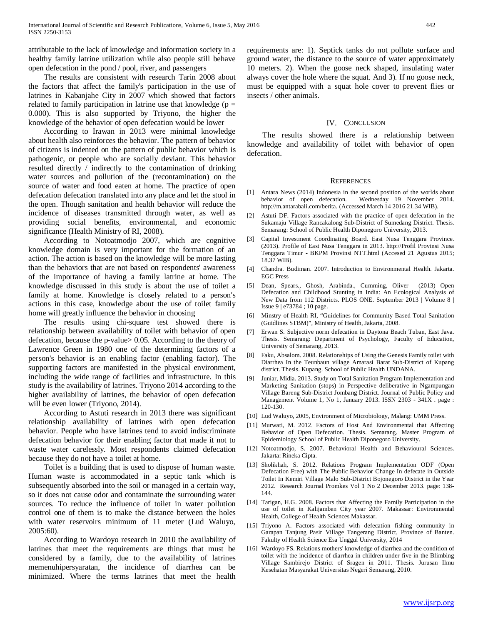attributable to the lack of knowledge and information society in a healthy family latrine utilization while also people still behave open defecation in the pond / pool, river, and passengers

 The results are consistent with research Tarin 2008 about the factors that affect the family's participation in the use of latrines in Kabanjahe City in 2007 which showed that factors related to family participation in latrine use that knowledge ( $p =$ 0.000). This is also supported by Triyono, the higher the knowledge of the behavior of open defecation would be lower

 According to Irawan in 2013 were minimal knowledge about health also reinforces the behavior. The pattern of behavior of citizens is indented on the pattern of public behavior which is pathogenic, or people who are socially deviant. This behavior resulted directly / indirectly to the contamination of drinking water sources and pollution of the (recontamination) on the source of water and food eaten at home. The practice of open defecation defecation translated into any place and let the stool in the open. Though sanitation and health behavior will reduce the incidence of diseases transmitted through water, as well as providing social benefits, environmental, and economic significance (Health Ministry of RI, 2008).

 According to Notoatmodjo 2007, which are cognitive knowledge domain is very important for the formation of an action. The action is based on the knowledge will be more lasting than the behaviors that are not based on respondents' awareness of the importance of having a family latrine at home. The knowledge discussed in this study is about the use of toilet a family at home. Knowledge is closely related to a person's actions in this case, knowledge about the use of toilet family home will greatly influence the behavior in choosing

 The results using chi-square test showed there is relationship between availability of toilet with behavior of open defecation, because the p-value> 0.05. According to the theory of Lawrence Green in 1980 one of the determining factors of a person's behavior is an enabling factor (enabling factor). The supporting factors are manifested in the physical environment, including the wide range of facilities and infrastructure. In this study is the availability of latrines. Triyono 2014 according to the higher availability of latrines, the behavior of open defecation will be even lower (Triyono, 2014).

 According to Astuti research in 2013 there was significant relationship availability of latrines with open defecation behavior. People who have latrines tend to avoid indiscriminate defecation behavior for their enabling factor that made it not to waste water carelessly. Most respondents claimed defecation because they do not have a toilet at home.

 Toilet is a building that is used to dispose of human waste. Human waste is accommodated in a septic tank which is subsequently absorbed into the soil or managed in a certain way, so it does not cause odor and contaminate the surrounding water sources. To reduce the influence of toilet in water pollution control one of them is to make the distance between the holes with water reservoirs minimum of 11 meter (Lud Waluyo, 2005:60).

 According to Wardoyo research in 2010 the availability of latrines that meet the requirements are things that must be considered by a family, due to the availability of latrines memenuhipersyaratan, the incidence of diarrhea can be minimized. Where the terms latrines that meet the health

requirements are: 1). Septick tanks do not pollute surface and ground water, the distance to the source of water approximately 10 meters. 2). When the goose neck shaped, insulating water always cover the hole where the squat. And 3). If no goose neck, must be equipped with a squat hole cover to prevent flies or insects / other animals.

## IV. CONCLUSION

 The results showed there is a relationship between knowledge and availability of toilet with behavior of open defecation.

#### **REFERENCES**

- [1] Antara News (2014) Indonesia in the second position of the worlds about behavior of open defecation. Wednesday 19 November 2014. http://m.antarabali.com/berita. (Accessed March 14 2016 21.34 WIB).
- [2] Astuti DF. Factors associated with the practice of open defecation in the Sukamaju Village Rancakalong Sub-District of Sumedang District. Thesis. Semarang: School of Public Health Diponegoro University, 2013.
- [3] Capital Investment Coordinating Board. East Nusa Tenggara Province. (2013). Profile of East Nusa Tenggara in 2013. http://Profil Provinsi Nusa Tenggara Timur - BKPM Provinsi NTT.html (Accesed 21 Agustus 2015; 18.37 WIB).
- [4] Chandra. Budiman. 2007. Introduction to Environmental Health. Jakarta. EGC Press
- [5] Dean, Spears., Ghosh, Arabinda., Cumming, Oliver (2013) Open Defecation and Childhood Stunting in India: An Ecological Analysis of New Data from 112 Districts. PLOS ONE. September 2013 | Volume 8 | Issue 9 | e73784 ; 10 page.
- [6] Minstry of Health RI, "Guidelines for Community Based Total Sanitation (Guidlines STBM)", Ministry of Health, Jakarta, 2008.
- [7] Erwan S. Subjective norm defecation in Daytona Beach Tuban, East Java. Thesis. Semarang: Department of Psychology, Faculty of Education, University of Semarang, 2013.
- [8] Faku, Absalom. 2008. Relationships of Using the Genesis Family toilet with Diarrhea In the Teunbaun village Amarasi Barat Sub-District of Kupang district. Thesis. Kupang. School of Public Health UNDANA.
- [9] Juniar, Midia. 2013. Study on Total Sanitation Program Implementation and Marketing Sanitation (stops) in Perspective deliberative in Ngampungan Village Bareng Sub-District Jombang District. Journal of Public Policy and Management Volume 1, No 1, January 2013. ISSN 2303 - 341X . page : 120-130.
- [10] Lud Waluyo, 2005, Environment of Microbiology, Malang: UMM Press.
- [11] Murwati, M. 2012. Factors of Host And Environmental that Affecting Behavior of Open Defecation. Thesis. Semarang. Master Program of Epidemiology School of Public Health Diponegoro University.
- [12] Notoatmodjo, S. 2007. Behavioral Health and Behavioural Sciences. Jakarta: Rineka Cipta.
- [13] Sholikhah, S. 2012. Relations Program Implementation ODF (Open Defecation Free) with The Public Behavior Change In defecate in Outside Toilet In Kemiri Village Malo Sub-District Bojonegoro District in the Year 2012. Research Journal Promkes Vol 1 No 2 December 2013. page: 138- 144.
- [14] Tarigan, H.G. 2008. Factors that Affecting the Family Participation in the use of toilet in Kalijamben City year 2007. Makassar: Environmental Health, College of Health Sciences Makassar.
- [15] Triyono A. Factors associated with defecation fishing community in Garapan Tanjung Pasir Village Tangerang District, Province of Banten. Fakulty of Health Science Esa Unggul University, 2014
- [16] Wardoyo FS. Relations mothers' knowledge of diarrhea and the condition of toilet with the incidence of diarrhea in children under five in the Blimbing Village Sambirejo District of Sragen in 2011. Thesis. Jurusan Ilmu Kesehatan Masyarakat Universitas Negeri Semarang, 2010.